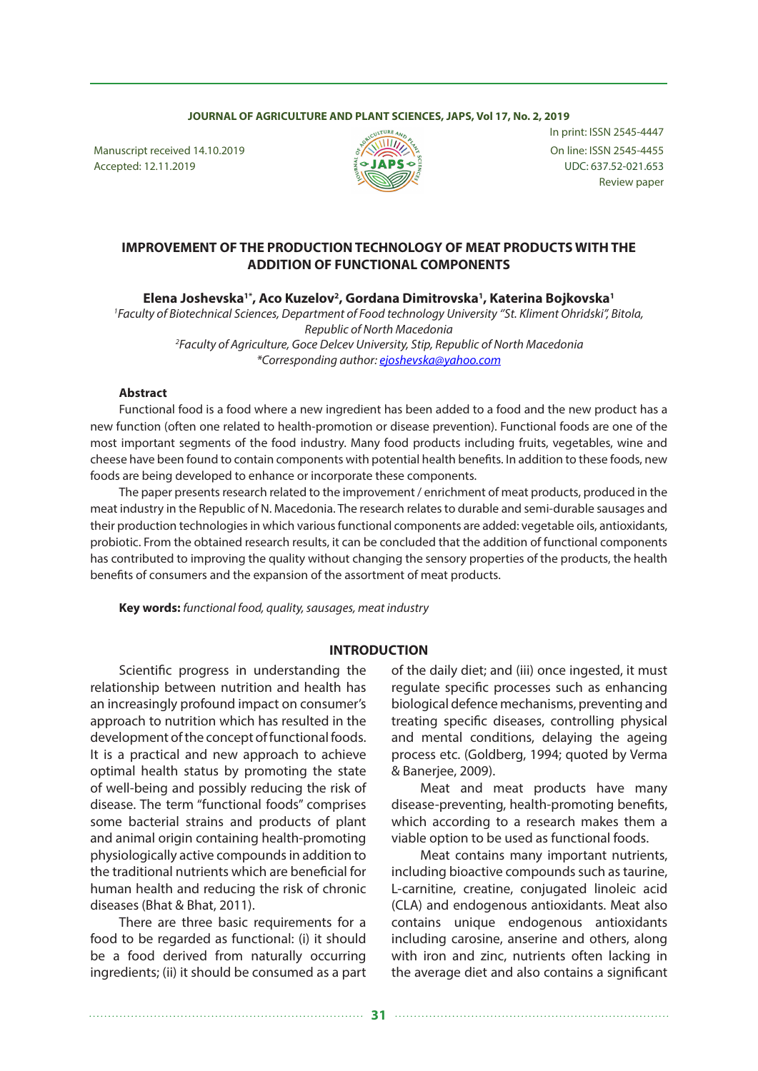#### **JOURNAL OF AGRICULTURE AND PLANT SCIENCES, JAPS, Vol 17, No. 2, 2019**

Manuscript received 14.10.2019  $\sqrt[8]{\left(\frac{1}{2}\right)^{1/2}}$  On line: ISSN 2545-4455 Accepted: 12.11.2019  ${}_{2}^{\circ}$   ${}_{2}^{\circ}$   ${}_{3}^{\circ}$   ${}_{4}^{\circ}$   ${}_{3}^{\circ}$   ${}_{4}^{\circ}$   ${}_{4}^{\circ}$   ${}_{5}^{\circ}$   ${}_{4}^{\circ}$   ${}_{5}^{\circ}$   ${}_{5}^{\circ}$   ${}_{5}^{\circ}$   ${}_{5}^{\circ}$   ${}_{5}^{\circ}$   ${}_{5}^{\circ}$   ${}_{5}^{\circ}$   ${}_{5}^{\circ}$   ${}_{5}^{\circ}$   ${}$ 



In print: ISSN 2545-4447 Review paper

## **IMPROVEMENT OF THE PRODUCTION TECHNOLOGY OF MEAT PRODUCTS WITH THE ADDITION OF FUNCTIONAL COMPONENTS**

**Elena Joshevska1\*, Aco Kuzelov2 , Gordana Dimitrovska1 , Katerina Bojkovska1**

<sup>1</sup> Faculty of Biotechnical Sciences, Department of Food technology University "St. Kliment Ohridski", Bitola, *Republic of North Macedonia 2Faculty of Agriculture, Goce Delcev University, Stip, Republic of North Macedonia \*Corresponding author: ejoshevska@yahoo.com*

#### **Abstract**

Functional food is a food where a new ingredient has been added to a food and the new product has a new function (often one related to health-promotion or disease prevention). Functional foods are one of the most important segments of the food industry. Many food products including fruits, vegetables, wine and cheese have been found to contain components with potential health benefits. In addition to these foods, new foods are being developed to enhance or incorporate these components.

The paper presents research related to the improvement / enrichment of meat products, produced in the meat industry in the Republic of N. Macedonia. The research relates to durable and semi-durable sausages and their production technologies in which various functional components are added: vegetable oils, antioxidants, probiotic. From the obtained research results, it can be concluded that the addition of functional components has contributed to improving the quality without changing the sensory properties of the products, the health benefits of consumers and the expansion of the assortment of meat products.

**Key words:** *functional food, quality, sausages, meat industry*

#### **INTRODUCTION**

Scientific progress in understanding the relationship between nutrition and health has an increasingly profound impact on consumer's approach to nutrition which has resulted in the development of the concept of functional foods. It is a practical and new approach to achieve optimal health status by promoting the state of well-being and possibly reducing the risk of disease. The term "functional foods" comprises some bacterial strains and products of plant and animal origin containing health-promoting physiologically active compounds in addition to the traditional nutrients which are beneficial for human health and reducing the risk of chronic diseases (Bhat & Bhat, 2011).

There are three basic requirements for a food to be regarded as functional: (i) it should be a food derived from naturally occurring ingredients; (ii) it should be consumed as a part

of the daily diet; and (iii) once ingested, it must regulate specific processes such as enhancing biological defence mechanisms, preventing and treating specific diseases, controlling physical and mental conditions, delaying the ageing process etc. (Goldberg, 1994; quoted by Verma & Banerjee, 2009).

Meat and meat products have many disease-preventing, health-promoting benefits, which according to a research makes them a viable option to be used as functional foods.

Meat contains many important nutrients, including bioactive compounds such as taurine, L-carnitine, creatine, conjugated linoleic acid (CLA) and endogenous antioxidants. Meat also contains unique endogenous antioxidants including carosine, anserine and others, along with iron and zinc, nutrients often lacking in the average diet and also contains a significant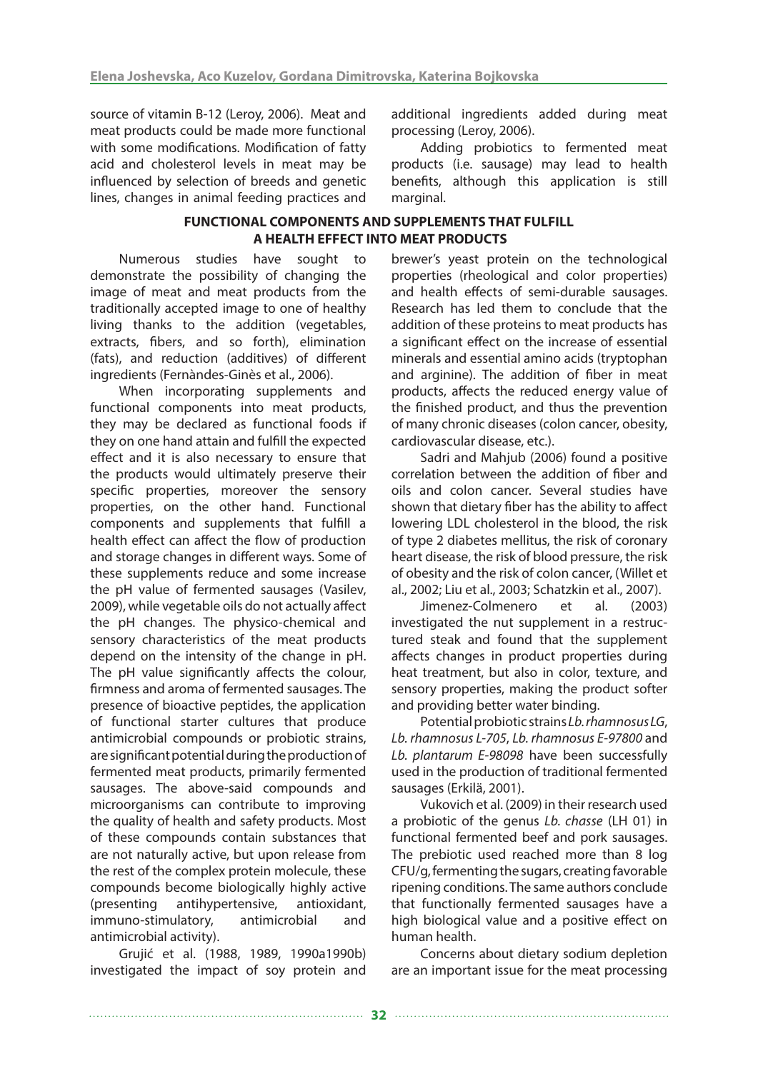source of vitamin B-12 (Leroy, 2006). Мeat and meat products could be made more functional with some modifications. Modification of fatty acid and cholesterol levels in meat may be influenced by selection of breeds and genetic lines, changes in animal feeding practices and

additional ingredients added during meat processing (Leroy, 2006).

Adding probiotics to fermented meat products (i.e. sausage) may lead to health benefits, although this application is still marginal.

#### **FUNCTIONAL COMPONENTS AND SUPPLEMENTS THAT FULFILL A HEALTH EFFECT INTO MEAT PRODUCTS**

Numerous studies have sought to demonstrate the possibility of changing the image of meat and meat products from the traditionally accepted image to one of healthy living thanks to the addition (vegetables, extracts, fibers, and so forth), elimination (fats), and reduction (additives) of different ingredients (Fernàndes-Ginès et al., 2006).

When incorporating supplements and functional components into meat products, they may be declared as functional foods if they on one hand attain and fulfill the expected effect and it is also necessary to ensure that the products would ultimately preserve their specific properties, moreover the sensory properties, on the other hand. Functional components and supplements that fulfill a health effect can affect the flow of production and storage changes in different ways. Some of these supplements reduce and some increase the pH value of fermented sausages (Vasilev, 2009), while vegetable oils do not actually affect the pH changes. The physico-chemical and sensory characteristics of the meat products depend on the intensity of the change in pH. The pH value significantly affects the colour, firmness and aroma of fermented sausages. The presence of bioactive peptides, the application of functional starter cultures that produce antimicrobial compounds or probiotic strains, are significant potential during the production of fermented meat products, primarily fermented sausages. The above-said compounds and microorganisms can contribute to improving the quality of health and safety products. Most of these compounds contain substances that are not naturally active, but upon release from the rest of the complex protein molecule, these compounds become biologically highly active (presenting antihypertensive, antioxidant, immuno-stimulatory, antimicrobial and antimicrobial activity).

Grujić et al. (1988, 1989, 1990a1990b) investigated the impact of soy protein and brewer's yeast protein on the technological properties (rheological and color properties) and health effects of semi-durable sausages. Research has led them to conclude that the addition of these proteins to meat products has a significant effect on the increase of essential minerals and essential amino acids (tryptophan and arginine). The addition of fiber in meat products, affects the reduced energy value of the finished product, and thus the prevention of many chronic diseases (colon cancer, obesity, cardiovascular disease, etc.).

Sadri and Mahjub (2006) found a positive correlation between the addition of fiber and oils and colon cancer. Several studies have shown that dietary fiber has the ability to affect lowering LDL cholesterol in the blood, the risk of type 2 diabetes mellitus, the risk of coronary heart disease, the risk of blood pressure, the risk of obesity and the risk of colon cancer, (Willet et al., 2002; Liu et al., 2003; Schatzkin et al., 2007).

Jimenez-Colmenero et al. (2003) investigated the nut supplement in a restructured steak and found that the supplement affects changes in product properties during heat treatment, but also in color, texture, and sensory properties, making the product softer and providing better water binding.

Potential probiotic strains *Lb. rhamnosus LG*, *Lb. rhamnosus L-705*, *Lb. rhamnosus E-97800* and *Lb. plantarum E-98098* have been successfully used in the production of traditional fermented sausages (Erkilä, 2001).

Vukovich et al. (2009) in their research used a probiotic of the genus *Lb. chasse* (LH 01) in functional fermented beef and pork sausages. The prebiotic used reached more than 8 log CFU/g, fermenting the sugars, creating favorable ripening conditions. The same authors conclude that functionally fermented sausages have a high biological value and a positive effect on human health.

Concerns about dietary sodium depletion are an important issue for the meat processing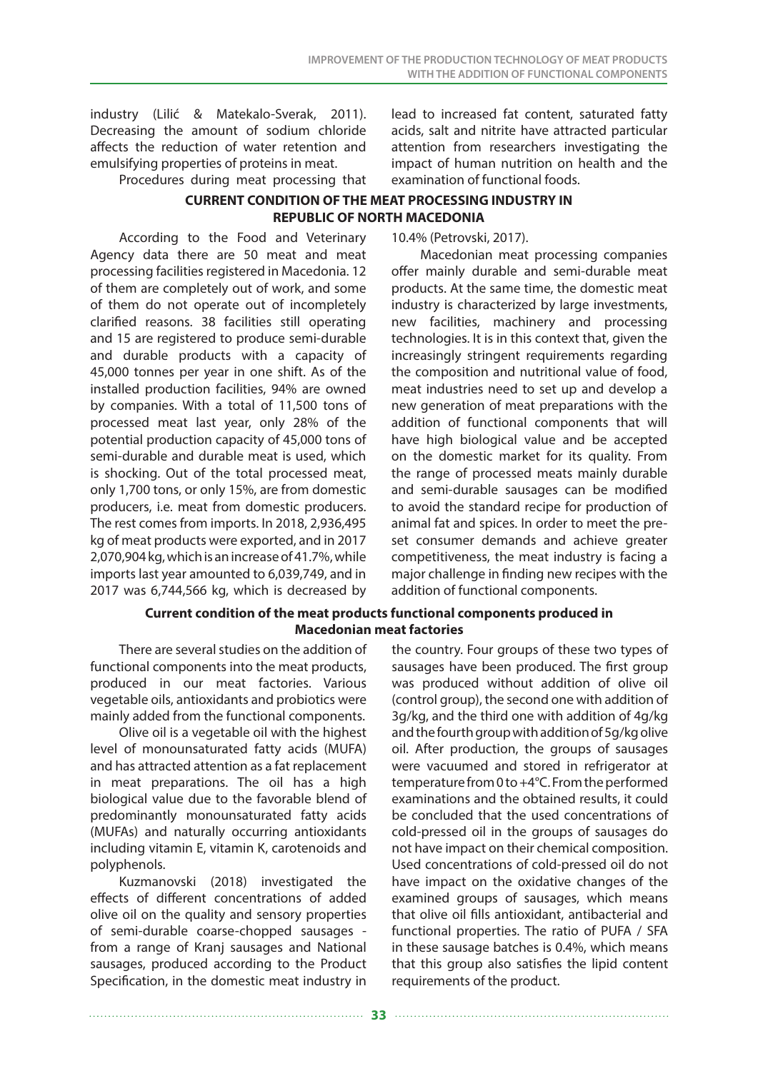industry (Lilić & Matekalo-Sverak, 2011). Decreasing the amount of sodium chloride affects the reduction of water retention and emulsifying properties of proteins in meat.

Procedures during meat processing that

lead to increased fat content, saturated fatty acids, salt and nitrite have attracted particular attention from researchers investigating the impact of human nutrition on health and the examination of functional foods.

# **CURRENT CONDITION OF THE MEAT PROCESSING INDUSTRY IN REPUBLIC OF NORTH MACEDONIA**

According to the Food and Veterinary Agency data there are 50 meat and meat processing facilities registered in Macedonia. 12 of them are completely out of work, and some of them do not operate out of incompletely clarified reasons. 38 facilities still operating and 15 are registered to produce semi-durable and durable products with a capacity of 45,000 tonnes per year in one shift. As of the installed production facilities, 94% are owned by companies. With a total of 11,500 tons of processed meat last year, only 28% of the potential production capacity of 45,000 tons of semi-durable and durable meat is used, which is shocking. Out of the total processed meat, only 1,700 tons, or only 15%, are from domestic producers, i.e. meat from domestic producers. The rest comes from imports. In 2018, 2,936,495 kg of meat products were exported, and in 2017 2,070,904 kg, which is an increase of 41.7%, while imports last year amounted to 6,039,749, and in 2017 was 6,744,566 kg, which is decreased by

#### 10.4% (Petrovski, 2017).

Macedonian meat processing companies offer mainly durable and semi-durable meat products. At the same time, the domestic meat industry is characterized by large investments, new facilities, machinery and processing technologies. It is in this context that, given the increasingly stringent requirements regarding the composition and nutritional value of food, meat industries need to set up and develop a new generation of meat preparations with the addition of functional components that will have high biological value and be accepted on the domestic market for its quality. From the range of processed meats mainly durable and semi-durable sausages can be modified to avoid the standard recipe for production of animal fat and spices. In order to meet the preset consumer demands and achieve greater competitiveness, the meat industry is facing a major challenge in finding new recipes with the addition of functional components.

#### **Current condition of the meat products functional components produced in Macedonian meat factories**

There are several studies on the addition of functional components into the meat products, produced in our meat factories. Various vegetable oils, antioxidants and probiotics were mainly added from the functional components.

Olive oil is a vegetable oil with the highest level of monounsaturated fatty acids (MUFA) and has attracted attention as a fat replacement in meat preparations. The oil has a high biological value due to the favorable blend of predominantly monounsaturated fatty acids (MUFAs) and naturally occurring antioxidants including vitamin E, vitamin K, carotenoids and polyphenols.

Kuzmanovski (2018) investigated the effects of different concentrations of added olive oil on the quality and sensory properties of semi-durable coarse-chopped sausages from a range of Kranj sausages and National sausages, produced according to the Product Specification, in the domestic meat industry in the country. Four groups of these two types of sausages have been produced. The first group was produced without addition of olive oil (control group), the second one with addition of 3g/kg, and the third one with addition of 4g/kg and the fourth group with addition of 5g/kg olive oil. After production, the groups of sausages were vacuumed and stored in refrigerator at temperature from 0 to +4°С. From the performed examinations and the obtained results, it could be concluded that the used concentrations of cold-pressed oil in the groups of sausages do not have impact on their chemical composition. Used concentrations of cold-pressed oil do not have impact on the oxidative changes of the examined groups of sausages, which means that olive oil fills antioxidant, antibacterial and functional properties. Тhe ratio of PUFA / SFA in these sausage batches is 0.4%, which means that this group also satisfies the lipid content requirements of the product.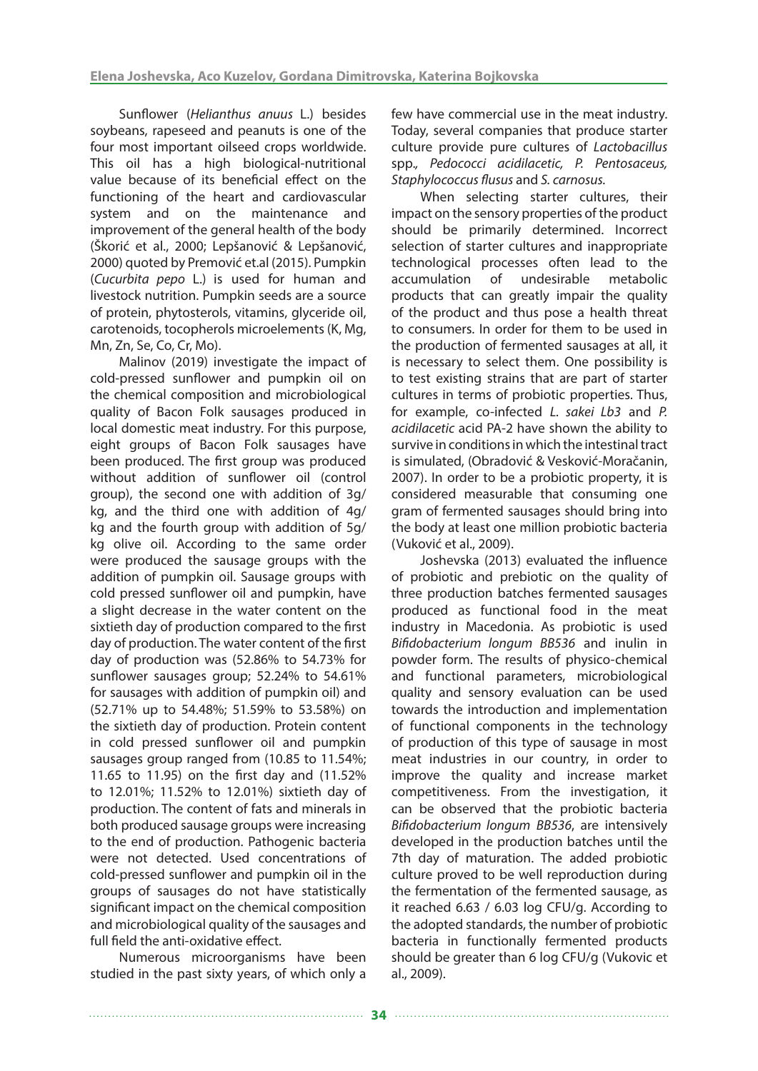Sunflower (*Helianthus anuus* L.) besides soybeans, rapeseed and peanuts is one of the four most important oilseed crops worldwide. This oil has a high biological-nutritional value because of its beneficial effect on the functioning of the heart and cardiovascular system and on the maintenance and improvement of the general health of the body (Škorić et al., 2000; Lepšanović & Lepšanović, 2000) quoted by Premović et.al (2015). Pumpkin (*Cucurbita pepo* L.) is used for human and livestock nutrition. Pumpkin seeds are a source of protein, phytosterols, vitamins, glyceride oil, carotenoids, tocopherols microelements (K, Mg, Mn, Zn, Se, Co, Cr, Mo).

Malinov (2019) investigate the impact of cold-pressed sunflower and pumpkin oil on the chemical composition and microbiological quality of Bacon Folk sausages produced in local domestic meat industry. For this purpose, eight groups of Bacon Folk sausages have been produced. The first group was produced without addition of sunflower oil (control group), the second one with addition of 3g/ kg, and the third one with addition of 4g/ kg and the fourth group with addition of 5g/ kg olive oil. According to the same order were produced the sausage groups with the addition of pumpkin oil. Sausage groups with cold pressed sunflower oil and pumpkin, have a slight decrease in the water content on the sixtieth day of production compared to the first day of production. The water content of the first day of production was (52.86% to 54.73% for sunflower sausages group; 52.24% to 54.61% for sausages with addition of pumpkin oil) and (52.71% up to 54.48%; 51.59% to 53.58%) on the sixtieth day of production. Protein content in cold pressed sunflower oil and pumpkin sausages group ranged from (10.85 to 11.54%; 11.65 to 11.95) on the first day and (11.52% to 12.01%; 11.52% to 12.01%) sixtieth day of production. The content of fats and minerals in both produced sausage groups were increasing to the end of production. Pathogenic bacteria were not detected. Used concentrations of cold-pressed sunflower and pumpkin oil in the groups of sausages do not have statistically significant impact on the chemical composition and microbiological quality of the sausages and full field the anti-oxidative effect.

Numerous microorganisms have been studied in the past sixty years, of which only a

few have commercial use in the meat industry. Today, several companies that produce starter culture provide pure cultures of *Lactobacillus*  spp.*, Pedococci acidilacetic, P. Pentosaceus, Staphylococcus flusus* and *S. carnosus.*

When selecting starter cultures, their impact on the sensory properties of the product should be primarily determined. Incorrect selection of starter cultures and inappropriate technological processes often lead to the accumulation of undesirable metabolic products that can greatly impair the quality of the product and thus pose a health threat to consumers. In order for them to be used in the production of fermented sausages at all, it is necessary to select them. One possibility is to test existing strains that are part of starter cultures in terms of probiotic properties. Thus, for example, co-infected *L. sakei Lb3* and *P. acidilacetic* acid PA-2 have shown the ability to survive in conditions in which the intestinal tract is simulated, (Obradović & Vesković-Moračanin, 2007). In order to be a probiotic property, it is considered measurable that consuming one gram of fermented sausages should bring into the body at least one million probiotic bacteria (Vuković et al., 2009).

Joshevska (2013) evaluated the influence of probiotic and prebiotic on the quality of three production batches fermented sausages produced as functional food in the meat industry in Macedonia. As probiotic is used *Bifidobacterium longum BB536* and inulin in powder form. The results of physico-chemical and functional parameters, microbiological quality and sensory evaluation can be used towards the introduction and implementation of functional components in the technology of production of this type of sausage in most meat industries in our country, in order to improve the quality and increase market competitiveness. From the investigation, it can be observed that the probiotic bacteria *Bifidobacterium longum BB536*, are intensively developed in the production batches until the 7th day of maturation. The added probiotic culture proved to be well reproduction during the fermentation of the fermented sausage, as it reached 6.63 / 6.03 log CFU/g. According to the adopted standards, the number of probiotic bacteria in functionally fermented products should be greater than 6 log CFU/g (Vukovic et al., 2009).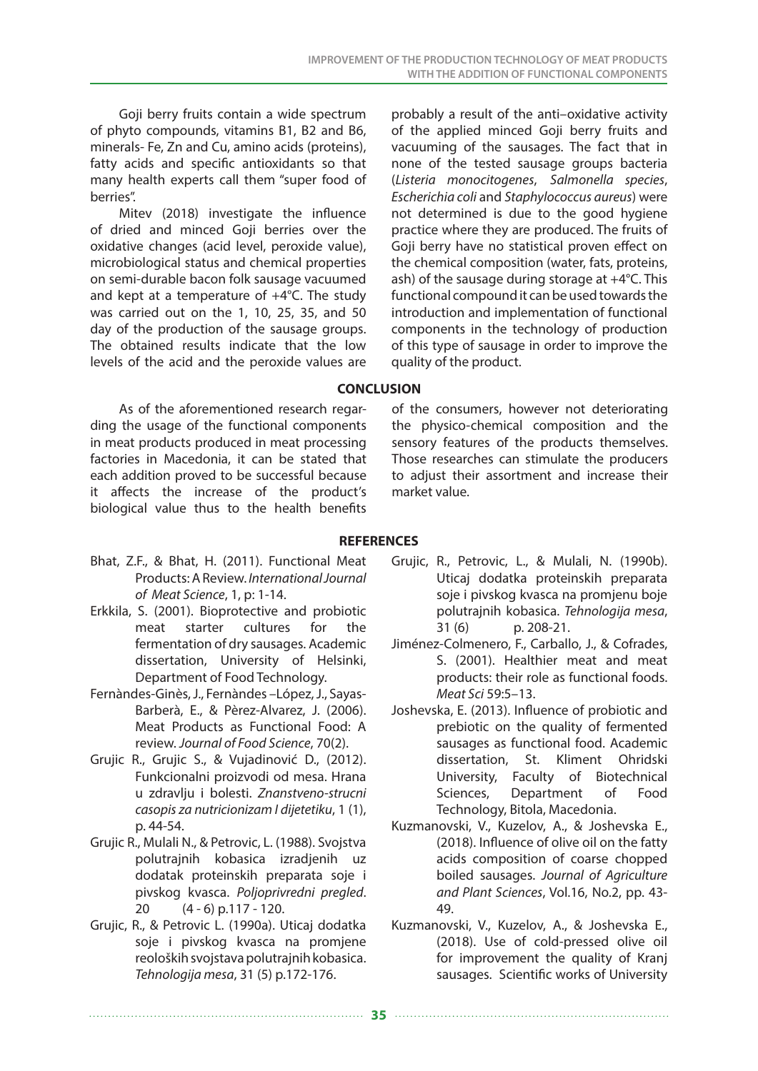Goji berry fruits contain a wide spectrum of phyto compounds, vitamins B1, B2 and B6, minerals- Fe, Zn and Cu, amino acids (proteins), fatty acids and specific antioxidants so that many health experts call them "super food of berries".

Mitev (2018) investigate the influence of dried and minced Goji berries over the oxidative changes (acid level, peroxide value), microbiological status and chemical properties on semi-durable bacon folk sausage vacuumed and kept at a temperature of +4°С. The study was carried out on the 1, 10, 25, 35, and 50 day of the production of the sausage groups. The obtained results indicate that the low levels of the acid and the peroxide values are

As of the aforementioned research regarding the usage of the functional components in meat products produced in meat processing factories in Macedonia, it can be stated that each addition proved to be successful because it affects the increase of the product's biological value thus to the health benefits

probably a result of the anti–oxidative activity of the applied minced Goji berry fruits and vacuuming of the sausages. The fact that in none of the tested sausage groups bacteria (*Listeria monocitogenes*, *Salmonella species*, *Escherichia coli* and *Staphylococcus aureus*) were not determined is due to the good hygiene practice where they are produced. The fruits of Goji berry have no statistical proven effect on the chemical composition (water, fats, proteins, ash) of the sausage during storage at +4°C. This functional compound it can be used towards the introduction and implementation of functional components in the technology of production of this type of sausage in order to improve the quality of the product.

## **CONCLUSION**

of the consumers, however not deteriorating the physico-chemical composition and the sensory features of the products themselves. Those researches can stimulate the producers to adjust their assortment and increase their market value.

### **REFERENCES**

- Bhat, Z.F., & Bhat, H. (2011). Functional Meat Products: A Review. *International Journal of Meat Science*, 1, p: 1-14.
- Erkkila, S. (2001). Bioprotective and probiotic meat starter cultures for the fermentation of dry sausages. Academic dissertation, University of Helsinki, Department of Food Technology.
- Fernàndes-Ginès, J., Fernàndes –López, J., Sayas-Barberà, E., & Pèrez-Alvarez, J. (2006). Meat Products as Functional Food: A review. *Journal of Food Science*, 70(2).
- Grujic R., Grujic S., & Vujadinović D., (2012). Funkcionalni proizvodi od mesa. Hrana u zdravlju i bolesti. *Znanstveno-strucni casopis za nutricionizam I dijetetiku*, 1 (1), p. 44-54.
- Grujic R., Mulali N., & Petrovic, L. (1988). Svojstva polutrajnih kobasica izradjenih uz dodatak proteinskih preparata soje i pivskog kvasca. *Poljoprivredni pregled*. 20 (4 - 6) p.117 - 120.
- Grujic, R., & Petrovic L. (1990a). Uticaj dodatka soje i pivskog kvasca na promjene reoloških svojstava polutrajnih kobasica. *Tehnologija mesa*, 31 (5) p.172-176.
- Grujic, R., Petrovic, L., & Mulali, N. (1990b). Uticaj dodatka proteinskih preparata soje i pivskog kvasca na promjenu boje polutrajnih kobasica. *Tehnologija mesa*, 31 (6) p. 208-21.
- Jiménez-Colmenero, F., Carballo, J., & Cofrades, S. (2001). Healthier meat and meat products: their role as functional foods. *Meat Sci* 59:5–13.
- Joshevska, E. (2013). Influence of probiotic and prebiotic on the quality of fermented sausages as functional food. Academic dissertation, St. Kliment Ohridski University, Faculty of Biotechnical Sciences, Department of Food Technology, Bitola, Macedonia.
- Kuzmanovski, V., Kuzelov, A., & Joshevska E., (2018). Influence of olive oil on the fatty acids composition of coarse chopped boiled sausages. *Journal of Agriculture and Plant Sciences*, Vol.16, No.2, pp. 43- 49.
- Kuzmanovski, V., Kuzelov, A., & Joshevska E., (2018). Use of cold-pressed olive oil for improvement the quality of Kranj sausages. Scientific works of University

**35**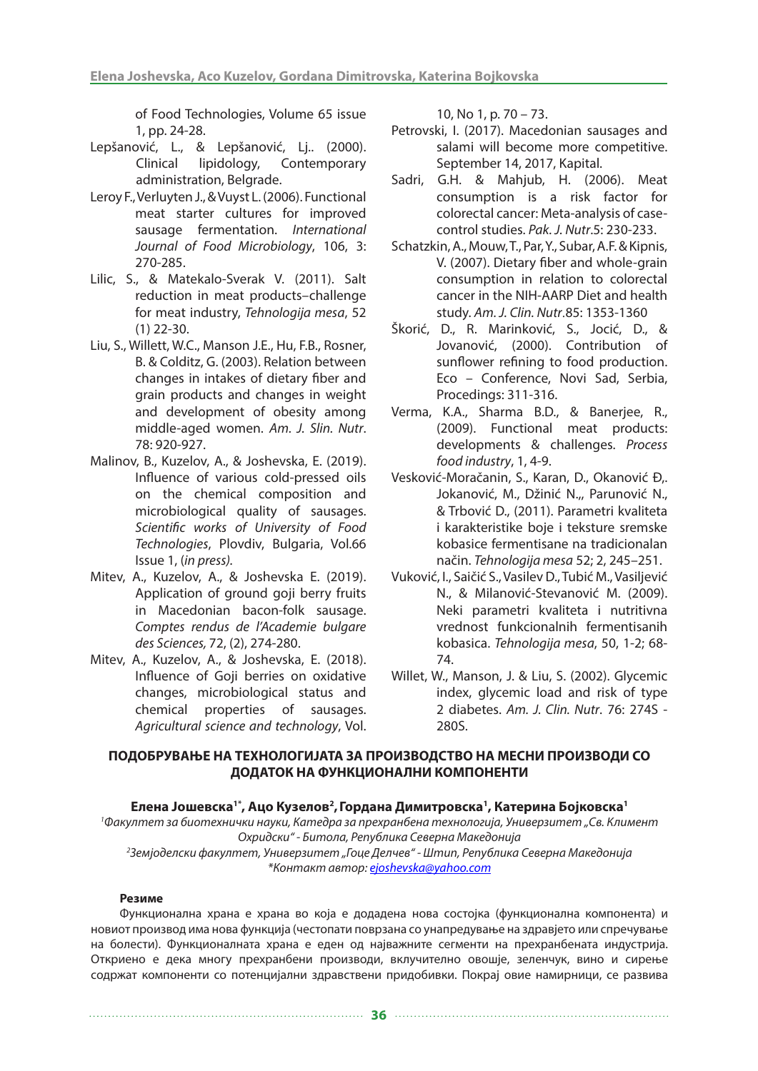of Food Technologies, Volume 65 issue 1, pp. 24-28.

- Lepšanović, L., & Lepšanović, Lj.. (2000). Clinical lipidology, Contemporary administration, Belgrade.
- Leroy F., Verluyten J., & Vuyst L. (2006). Functional meat starter cultures for improved sausage fermentation. *International Journal of Food Microbiology*, 106, 3: 270-285.
- Lilic, S., & Matekalo-Sverak V. (2011). Salt reduction in meat products–challenge for meat industry, *Tehnologija mesa*, 52 (1) 22-30.
- Liu, S., Willett, W.C., Manson J.E., Hu, F.B., Rosner, B. & Colditz, G. (2003). Relation between changes in intakes of dietary fiber and grain products and changes in weight and development of obesity among middle-aged women. *Am. J. Slin. Nutr*. 78: 920-927.
- Malinov, B., Kuzelov, A., & Joshevska, E. (2019). Influence of various cold-pressed oils on the chemical composition and microbiological quality of sausages. *Scientific works of University of Food Technologies*, Plovdiv, Bulgaria, Vol.66 Issue 1, (*in press).*
- Mitev, A., Kuzelov, A., & Joshevska E. (2019). Application of ground goji berry fruits in Macedonian bacon-folk sausage. *Comptes rendus de l'Academie bulgare des Sciences,* 72, (2), 274-280.
- Mitev, A., Kuzelov, A., & Joshevska, E. (2018). Influence of Goji berries on oxidative changes, microbiological status and chemical properties of sausages. *Аgricultural science and technology*, Vol.

10, No 1, p. 70 – 73.

- Petrovski, I. (2017). Macedonian sausages and salami will become more competitive. September 14, 2017, Kapital.
- Sadri, G.H. & Mahjub, H. (2006). Meat consumption is a risk factor for colorectal cancer: Meta-analysis of casecontrol studies. *Pak. J. Nutr*.5: 230-233.
- Schatzkin, A., Mouw, T., Par, Y., Subar, A.F. & Kipnis, V. (2007). Dietary fiber and whole-grain consumption in relation to colorectal cancer in the NIH-AARP Diet and health study. *Am. J. Clin. Nutr*.85: 1353-1360
- Škorić, D., R. Marinković, S., Jocić, D., & Jovanović, (2000). Contribution of sunflower refining to food production. Eco – Conference, Novi Sad, Serbia, Procedings: 311-316.
- Verma, K.A., Sharma B.D., & Banerjee, R., (2009). Functional meat products: developments & challenges. *Process food industry*, 1, 4-9.
- Vesković-Moračanin, S., Karan, D., Okanović Đ,. Jokanović, M., Džinić N.,, Parunović N., & Trbović D., (2011). Parametri kvaliteta i karakteristike boje i teksture sremske kobasice fermentisane na tradicionalan način. *Tehnologija mesa* 52; 2, 245–251.
- Vuković, I., Saičić S., Vasilev D., Tubić M., Vasiljević N., & Milanović-Stevanović M. (2009). Neki parametri kvaliteta i nutritivna vrednost funkcionalnih fermentisanih kobasica. *Tehnologija mesa*, 50, 1-2; 68- 74.
- Willet, W., Manson, J. & Liu, S. (2002). Glycemic index, glycemic load and risk of type 2 diabetes. *Am. J. Clin. Nutr*. 76: 274S - 280S.

## **ПОДОБРУВАЊЕ НА ТЕХНОЛОГИЈАТА ЗА ПРОИЗВОДСТВО НА МЕСНИ ПРОИЗВОДИ СО ДОДАТОК НА ФУНКЦИОНАЛНИ КОМПОНЕНТИ**

#### Елена Јошевска<sup>1\*</sup>, Ацо Кузелов<sup>2</sup>, Гордана Димитровска<sup>1</sup>, Катерина Бојковска<sup>1</sup>

<sup>1</sup> Факултет за биотехнички науки, Катедра за прехранбена технологија, Универзитет "Св. Климент *Охридски" - Битола, Република Северна Македонија 2 Земјоделски факултет, Универзитет "Гоце Делчев" - Штип, Република Северна Македонија \*Контакт автор: ejoshevska@yahoo.com*

#### **Резиме**

Функционална храна е храна во која е додадена нова состојка (функционална компонента) и новиот производ има нова функција (честопати поврзана со унапредување на здравјето или спречување на болести). Функционалната храна е еден од најважните сегменти на прехранбената индустрија. Откриено е дека многу прехранбени производи, вклучително овошје, зеленчук, вино и сирење содржат компоненти со потенцијални здравствени придобивки. Покрај овие намирници, се развива